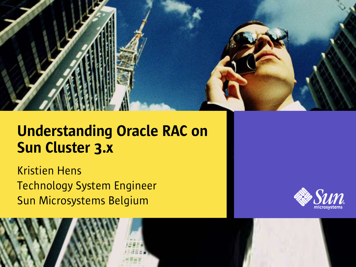

#### Understanding Oracle RAC on Sun Cluster 3.x

Kristien Hens Technology System Engineer Sun Microsystems Belgium



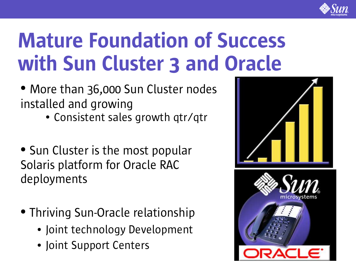

### Mature Foundation of Success with Sun Cluster 3 and Oracle

- More than 36,000 Sun Cluster nodes installed and growing
	- Consistent sales growth qtr/qtr
- Sun Cluster is the most popular Solaris platform for Oracle RAC deployments
- Thriving Sun-Oracle relationship
	- Joint technology Development
	- Joint Support Centers

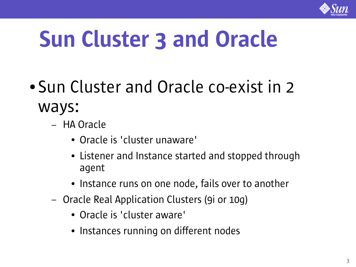

# Sun Cluster 3 and Oracle

- Sun Cluster and Oracle co-exist in 2 ways:
	- HA Oracle
		- Oracle is 'cluster unaware'
		- Listener and Instance started and stopped through agent
		- Instance runs on one node, fails over to another
	- Oracle Real Application Clusters (9i or 10g)
		- Oracle is 'cluster aware'
		- Instances running on different nodes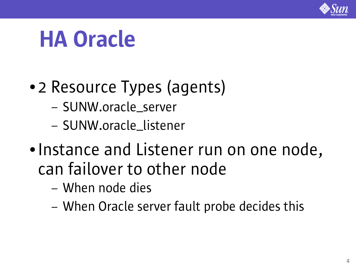

### HA Oracle

- 2 Resource Types (agents)
	- SUNW.oracle\_server
	- SUNW.oracle\_listener
- Instance and Listener run on one node, can failover to other node
	- When node dies
	- When Oracle server fault probe decides this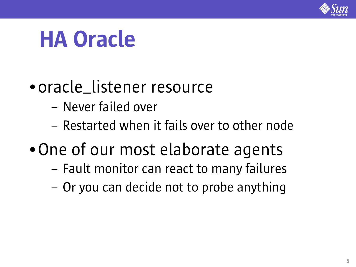

### HA Oracle

### ● oracle\_listener resource

- Never failed over
- Restarted when it fails over to other node
- One of our most elaborate agents
	- Fault monitor can react to many failures
	- Or you can decide not to probe anything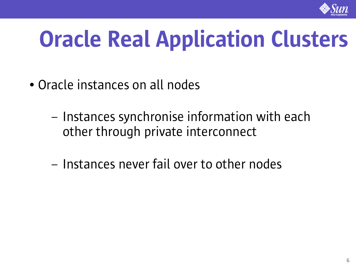

# Oracle Real Application Clusters

- Oracle instances on all nodes
	- Instances synchronise information with each other through private interconnect
	- Instances never fail over to other nodes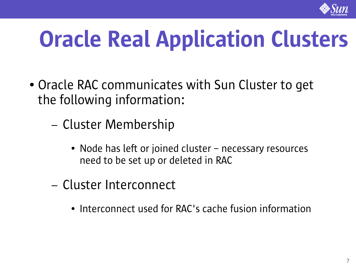

# Oracle Real Application Clusters

- Oracle RAC communicates with Sun Cluster to get the following information:
	- Cluster Membership
		- Node has left or joined cluster necessary resources need to be set up or deleted in RAC
	- Cluster Interconnect
		- Interconnect used for RAC's cache fusion information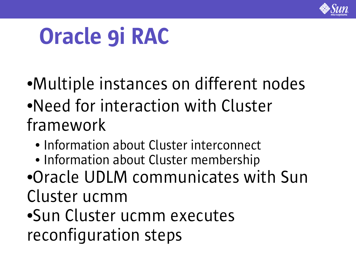

### Oracle 9i RAC

- ●Multiple instances on different nodes ●Need for interaction with Cluster framework
	- Information about Cluster interconnect
	- Information about Cluster membership
- ●Oracle UDLM communicates with Sun Cluster ucmm
- ●Sun Cluster ucmm executes reconfiguration steps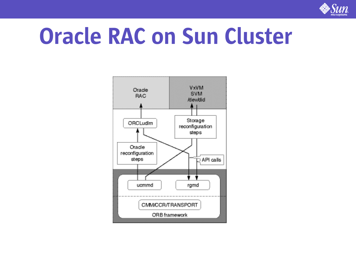

### Oracle RAC on Sun Cluster

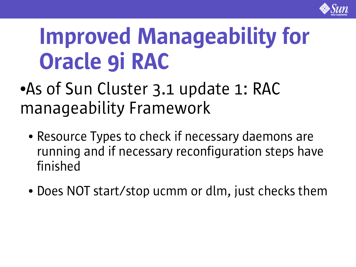

### Improved Manageability for Oracle 9i RAC

### • As of Sun Cluster 3.1 update 1: RAC manageability Framework

- Resource Types to check if necessary daemons are running and if necessary reconfiguration steps have finished
- Does NOT start/stop ucmm or dlm, just checks them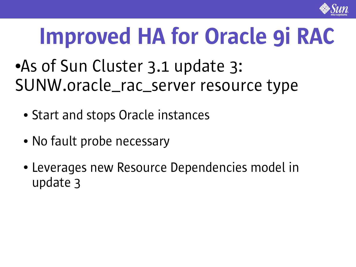

## Improved HA for Oracle 9i RAC

### ●As of Sun Cluster 3.1 update 3: SUNW.oracle\_rac\_server resource type

- Start and stops Oracle instances
- No fault probe necessary
- Leverages new Resource Dependencies model in update 3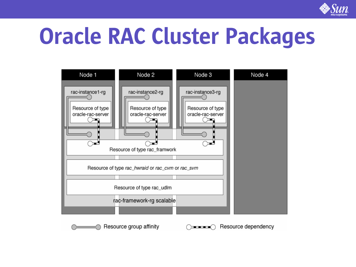

### Oracle RAC Cluster Packages



Resource group affinity

Resource dependency  $\bigcap_{\alpha\in\mathbb{Z}}\mathbb{Z}$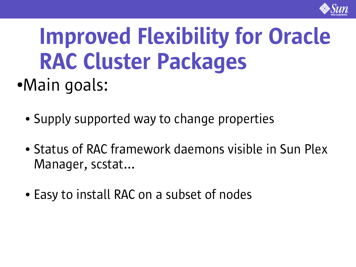

### Improved Flexibility for Oracle RAC Cluster Packages ●Main goals:

- Supply supported way to change properties
- Status of RAC framework daemons visible in Sun Plex Manager, scstat...
- Easy to install RAC on a subset of nodes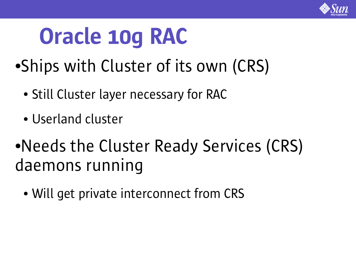

### Oracle 10g RAC

- ●Ships with Cluster of its own (CRS)
	- Still Cluster layer necessary for RAC
	- Userland cluster
- •Needs the Cluster Ready Services (CRS) daemons running
	- Will get private interconnect from CRS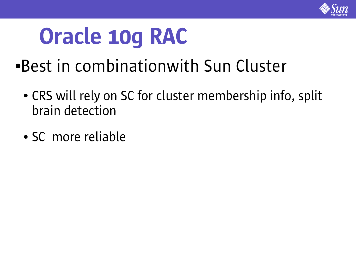

### Oracle 10g RAC

- ●Best in combinationwith Sun Cluster
	- CRS will rely on SC for cluster membership info, split brain detection
	- SC more reliable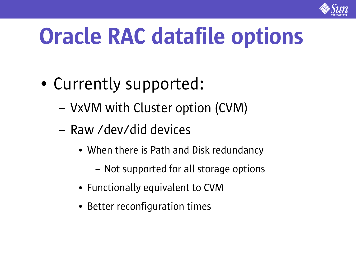

# Oracle RAC datafile options

- Currently supported:
	- VxVM with Cluster option (CVM)
	- Raw /dev/did devices
		- When there is Path and Disk redundancy
			- Not supported for all storage options
		- Functionally equivalent to CVM
		- Better reconfiguration times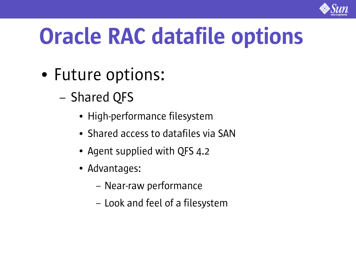

# Oracle RAC datafile options

- Future options:
	- Shared QFS
		- High-performance filesystem
		- Shared access to datafiles via SAN
		- Agent supplied with QFS 4.2
		- Advantages:
			- Near-raw performance
			- Look and feel of a filesystem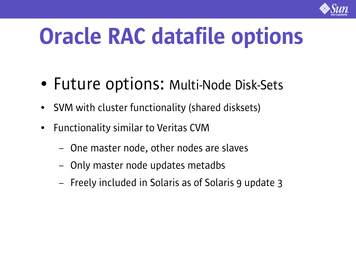

# Oracle RAC datafile options

- Future options: Multi-Node Disk-Sets
- SVM with cluster functionality (shared disksets)
- Functionality similar to Veritas CVM
	- One master node, other nodes are slaves
	- Only master node updates metadbs
	- Freely included in Solaris as of Solaris 9 update 3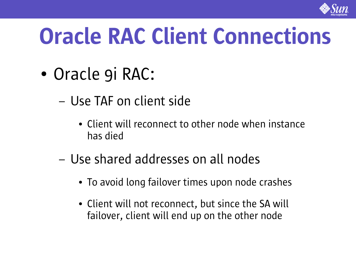

## Oracle RAC Client Connections

- Oracle 9i RAC:
	- Use TAF on client side
		- Client will reconnect to other node when instance has died
	- Use shared addresses on all nodes
		- To avoid long failover times upon node crashes
		- Client will not reconnect, but since the SA will failover, client will end up on the other node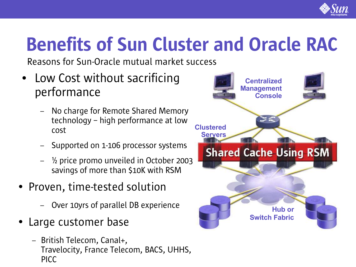

### Benefits of Sun Cluster and Oracle RAC

Reasons for Sun-Oracle mutual market success

- Low Cost without sacrificing performance
	- No charge for Remote Shared Memory technology – high performance at low cost
	- Supported on 1-106 processor systems
	- $\frac{1}{2}$  price promo unveiled in October 2003 savings of more than \$10K with RSM
- Proven, time-tested solution
	- Over 10yrs of parallel DB experience
- Large customer base
	- British Telecom, Canal+, Travelocity, France Telecom, BACS, UHHS, PICC

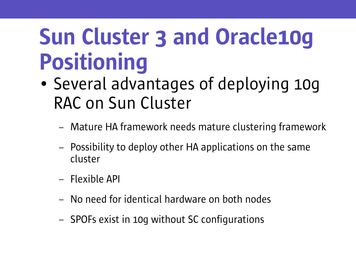### Sun Cluster 3 and Oracle10g Positioning

- Several advantages of deploying 10g RAC on Sun Cluster
	- Mature HA framework needs mature clustering framework
	- Possibility to deploy other HA applications on the same cluster
	- Flexible API
	- No need for identical hardware on both nodes
	- SPOFs exist in 10g without SC configurations